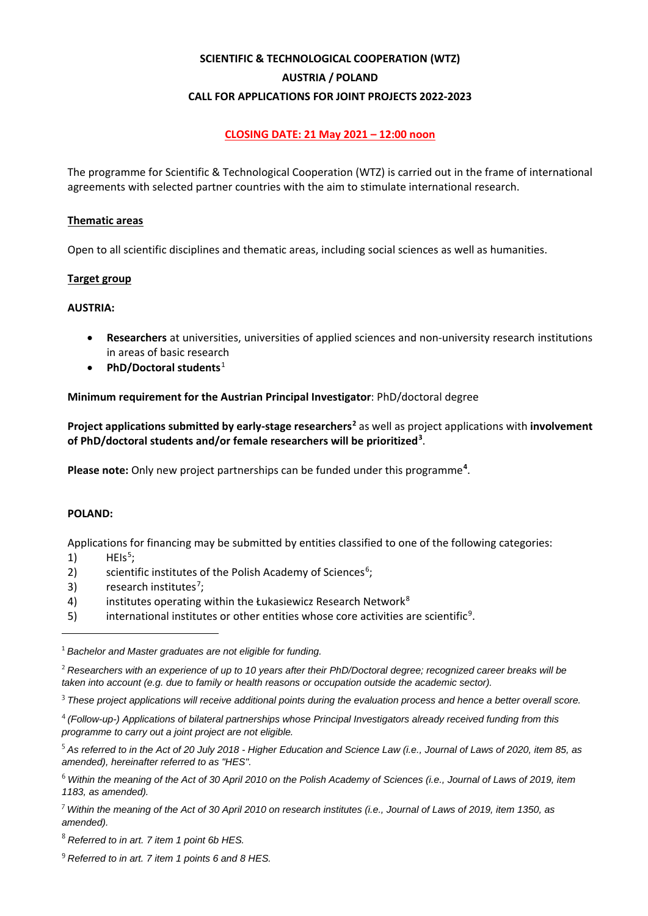# **SCIENTIFIC & TECHNOLOGICAL COOPERATION (WTZ) AUSTRIA / POLAND CALL FOR APPLICATIONS FOR JOINT PROJECTS 2022-2023**

# **CLOSING DATE: 21 May 2021 – 12:00 noon**

The programme for Scientific & Technological Cooperation (WTZ) is carried out in the frame of international agreements with selected partner countries with the aim to stimulate international research.

## **Thematic areas**

Open to all scientific disciplines and thematic areas, including social sciences as well as humanities.

# **Target group**

# **AUSTRIA:**

- **Researchers** at universities, universities of applied sciences and non-university research institutions in areas of basic research
- **PhD/Doctoral students**[1](#page-0-0)

# **Minimum requirement for the Austrian Principal Investigator**: PhD/doctoral degree

**Project applications submitted by early-stage researchers[2](#page-0-1)** as well as project applications with **involvement of PhD/doctoral students and/or female researchers will be prioritized[3](#page-0-2)** .

Please note: Only new project partnerships can be funded under this programme<sup>[4](#page-0-3)</sup>.

#### **POLAND:**

Applications for financing may be submitted by entities classified to one of the following categories:

- $1)$  HEIs<sup>[5](#page-0-4)</sup>;
- 2) scientific institutes of the Polish Academy of Sciences $6$ ;
- 3) research institutes<sup>[7](#page-0-6)</sup>;
- 4) institutes operating within the Łukasiewicz Research Network<sup>[8](#page-0-7)</sup>
- 5) international institutes or other entities whose core activities are scientific<sup>[9](#page-0-8)</sup>.

<span id="page-0-0"></span><sup>1</sup> *Bachelor and Master graduates are not eligible for funding.*

<span id="page-0-1"></span><sup>2</sup> *Researchers with an experience of up to 10 years after their PhD/Doctoral degree; recognized career breaks will be taken into account (e.g. due to family or health reasons or occupation outside the academic sector).*

<span id="page-0-2"></span><sup>3</sup> *These project applications will receive additional points during the evaluation process and hence a better overall score.*

<span id="page-0-3"></span><sup>4</sup> *(Follow-up-) Applications of bilateral partnerships whose Principal Investigators already received funding from this programme to carry out a joint project are not eligible.*

<span id="page-0-4"></span><sup>5</sup> *As referred to in the Act of 20 July 2018 - Higher Education and Science Law (i.e., Journal of Laws of 2020, item 85, as amended), hereinafter referred to as "HES".*

<span id="page-0-5"></span><sup>6</sup> *Within the meaning of the Act of 30 April 2010 on the Polish Academy of Sciences (i.e., Journal of Laws of 2019, item 1183, as amended).*

<span id="page-0-6"></span><sup>7</sup> *Within the meaning of the Act of 30 April 2010 on research institutes (i.e., Journal of Laws of 2019, item 1350, as amended).*

<span id="page-0-7"></span><sup>8</sup> *Referred to in art. 7 item 1 point 6b HES.*

<span id="page-0-8"></span><sup>9</sup> *Referred to in art. 7 item 1 points 6 and 8 HES.*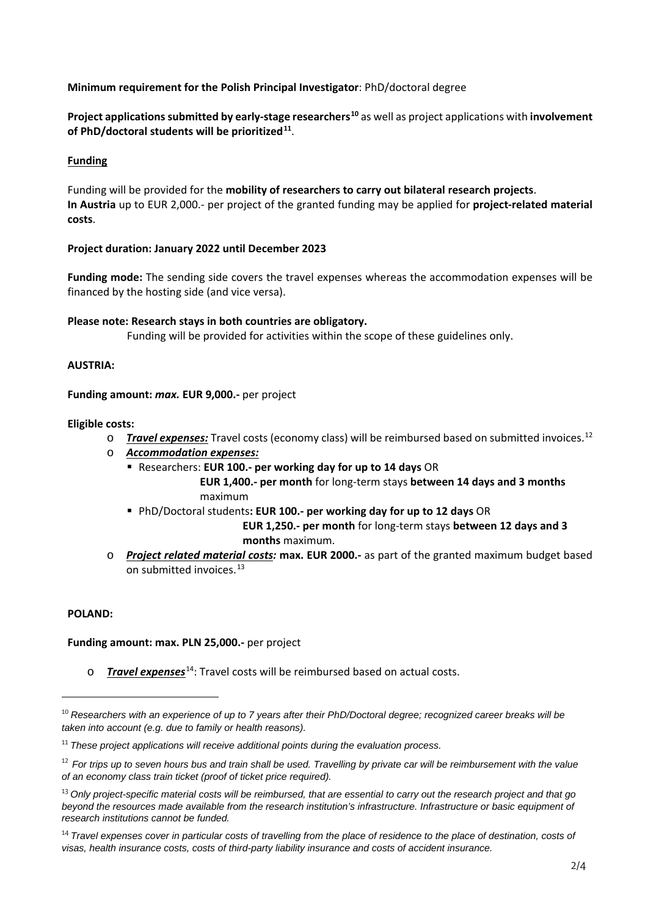# **Minimum requirement for the Polish Principal Investigator**: PhD/doctoral degree

**Project applications submitted by early-stage researchers[10](#page-1-0)** as well as project applications with **involvement of PhD/doctoral students will be prioritized[11](#page-1-1)**.

## **Funding**

Funding will be provided for the **mobility of researchers to carry out bilateral research projects**. **In Austria** up to EUR 2,000.- per project of the granted funding may be applied for **project-related material costs**.

#### **Project duration: January 2022 until December 2023**

**Funding mode:** The sending side covers the travel expenses whereas the accommodation expenses will be financed by the hosting side (and vice versa).

# **Please note: Research stays in both countries are obligatory.**

Funding will be provided for activities within the scope of these guidelines only.

# **AUSTRIA:**

**Funding amount:** *max.* **EUR 9,000.-** per project

#### **Eligible costs:**

- o *Travel expenses:* Travel costs (economy class) will be reimbursed based on submitted invoices.[12](#page-1-2)
- o *Accommodation expenses:*
	- Researchers: **EUR 100.- per working day for up to 14 days** OR  **EUR 1,400.- per month** for long-term stays **between 14 days and 3 months** maximum
	- PhD/Doctoral students**: EUR 100.- per working day for up to 12 days** OR  **EUR 1,250.- per month** for long-term stays **between 12 days and 3 months** maximum.
- o *Project related material costs:* **max. EUR 2000.-** as part of the granted maximum budget based on submitted invoices [13](#page-1-3)

#### **POLAND:**

**Funding amount: max. PLN 25,000.-** per project

o *Travel expenses*[14](#page-1-4): Travel costs will be reimbursed based on actual costs.

<span id="page-1-0"></span><sup>10</sup> *Researchers with an experience of up to 7 years after their PhD/Doctoral degree; recognized career breaks will be taken into account (e.g. due to family or health reasons).*

<span id="page-1-1"></span><sup>11</sup> *These project applications will receive additional points during the evaluation process.*

<span id="page-1-2"></span><sup>12</sup> *For trips up to seven hours bus and train shall be used. Travelling by private car will be reimbursement with the value of an economy class train ticket (proof of ticket price required).*

<span id="page-1-3"></span><sup>13</sup> *Only project-specific material costs will be reimbursed, that are essential to carry out the research project and that go beyond the resources made available from the research institution's infrastructure. Infrastructure or basic equipment of research institutions cannot be funded.*

<span id="page-1-4"></span><sup>&</sup>lt;sup>14</sup> Travel expenses cover in particular costs of travelling from the place of residence to the place of destination, costs of *visas, health insurance costs, costs of third-party liability insurance and costs of accident insurance.*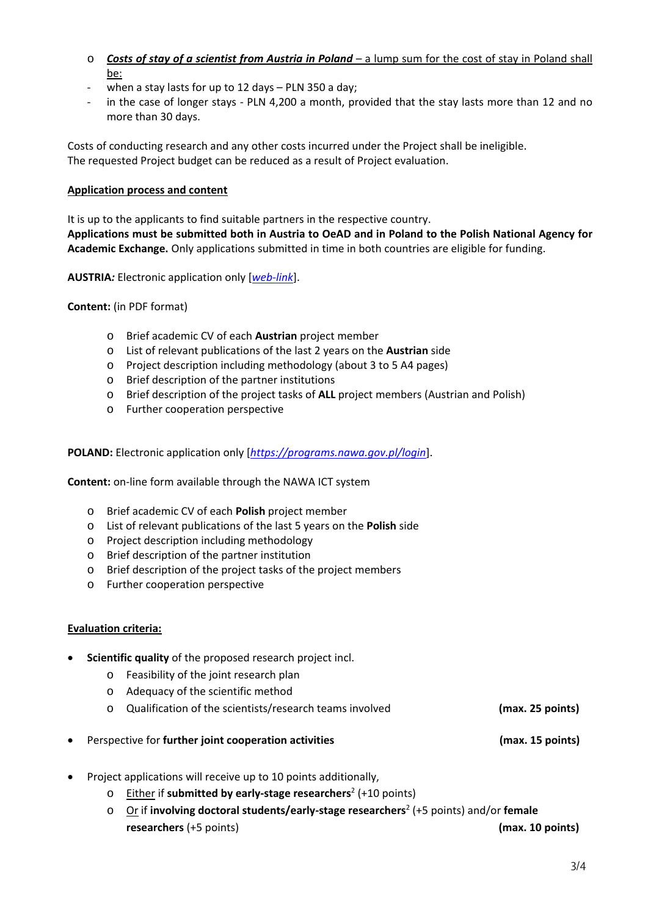- o *Costs of stay of a scientist from Austria in Poland* a lump sum for the cost of stay in Poland shall be:
- when a stay lasts for up to 12 days  $-$  PLN 350 a day;
- in the case of longer stays PLN 4,200 a month, provided that the stay lasts more than 12 and no more than 30 days.

Costs of conducting research and any other costs incurred under the Project shall be ineligible. The requested Project budget can be reduced as a result of Project evaluation.

# **Application process and content**

It is up to the applicants to find suitable partners in the respective country. **Applications must be submitted both in Austria to OeAD and in Poland to the Polish National Agency for** 

**Academic Exchange.** Only applications submitted in time in both countries are eligible for funding.

**AUSTRIA***:* Electronic application only [*[web-link](https://asp.sop.co.at/oead/antrag?call=PL2022)*].

**Content:** (in PDF format)

- o Brief academic CV of each **Austrian** project member
- o List of relevant publications of the last 2 years on the **Austrian** side
- o Project description including methodology (about 3 to 5 A4 pages)
- o Brief description of the partner institutions
- o Brief description of the project tasks of **ALL** project members (Austrian and Polish)
- o Further cooperation perspective

**POLAND:** Electronic application only [*<https://programs.nawa.gov.pl/login>*].

**Content:** on-line form available through the NAWA ICT system

- o Brief academic CV of each **Polish** project member
- o List of relevant publications of the last 5 years on the **Polish** side
- o Project description including methodology
- o Brief description of the partner institution
- o Brief description of the project tasks of the project members
- o Further cooperation perspective

# **Evaluation criteria:**

- **Scientific quality** of the proposed research project incl.
	- o Feasibility of the joint research plan
	- o Adequacy of the scientific method
	- o Qualification of the scientists/research teams involved **(max. 25 points)**
- Perspective for **further joint cooperation activities (max. 15 points)**
- Project applications will receive up to 10 points additionally,
	- o Either if **submitted by early-stage researchers**<sup>2</sup> (+10 points)
	- o Or if **involving doctoral students/early-stage researchers**<sup>2</sup> (+5 points) and/or **female researchers** (+5 points) **(max. 10 points)**